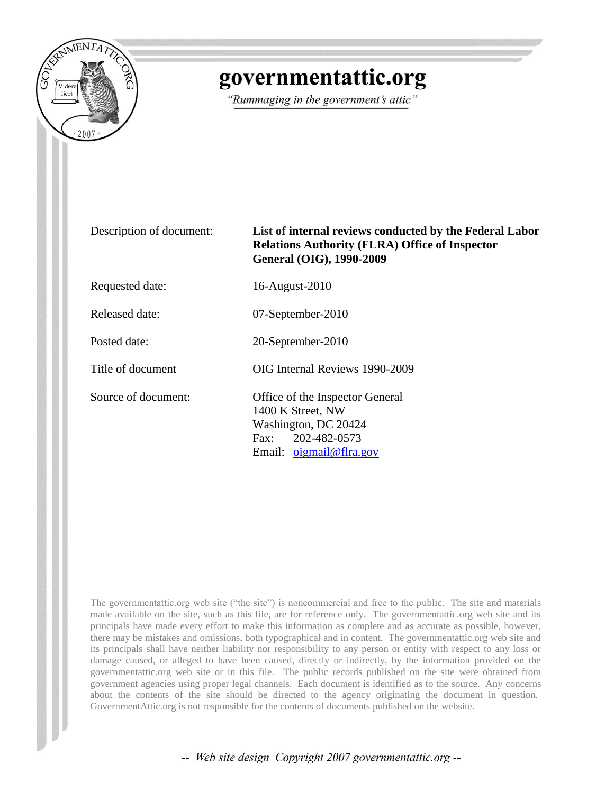

# governmentattic.org

"Rummaging in the government's attic"

## Description of document: **List of internal reviews conducted by the Federal Labor Relations Authority (FLRA) Office of Inspector General (OIG), 1990-2009**

Requested date: 16-August-2010

Released date: 07-September-2010

Posted date: 20-September-2010

Title of document OIG Internal Reviews 1990-2009

Source of document: Office of the Inspector General 1400 K Street, NW Washington, DC 20424 Fax: 202-482-0573 Email[: oigmail@flra.gov](mailto:oigmail@flra.gov)

The governmentattic.org web site ("the site") is noncommercial and free to the public. The site and materials made available on the site, such as this file, are for reference only. The governmentattic.org web site and its principals have made every effort to make this information as complete and as accurate as possible, however, there may be mistakes and omissions, both typographical and in content. The governmentattic.org web site and its principals shall have neither liability nor responsibility to any person or entity with respect to any loss or damage caused, or alleged to have been caused, directly or indirectly, by the information provided on the governmentattic.org web site or in this file. The public records published on the site were obtained from government agencies using proper legal channels. Each document is identified as to the source. Any concerns about the contents of the site should be directed to the agency originating the document in question. GovernmentAttic.org is not responsible for the contents of documents published on the website.

-- Web site design Copyright 2007 governmentattic.org --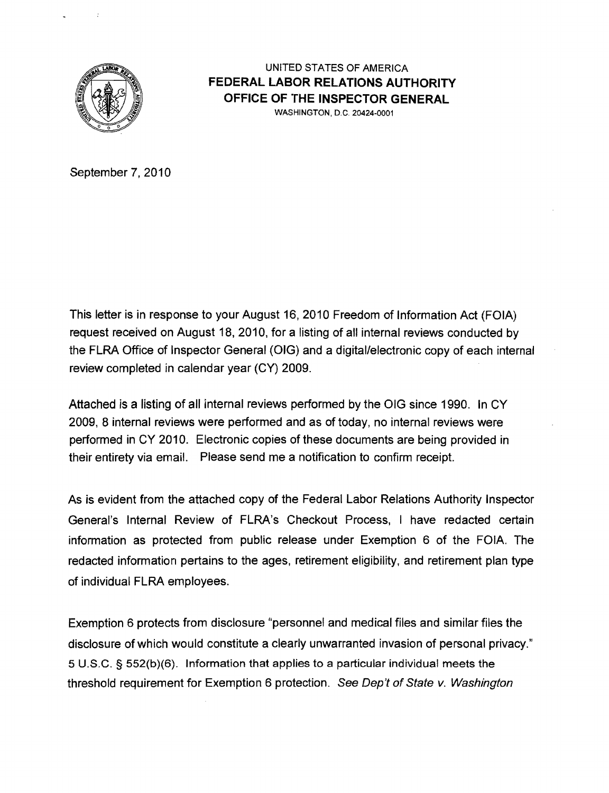

UNITED STATES OF AMERICA **FEDERAL LABOR RELATIONS AUTHORITY OFFICE OF THE INSPECTOR GENERAL**  WASHINGTON, D.C. 20424-0001

September 7, 2010

This letter is in response to your August 16, 2010 Freedom of Information Act (FOIA) request received on August 18, 2010, for a listing of all internal reviews conducted by the FLRA Office of Inspector General (OIG) and a digital/electronic copy of each internal review completed in calendar year (CY) 2009.

Attached is a listing of all internal reviews performed by the OIG since 1990. In CY 2009, 8 internal reviews were performed and as of today, no internal reviews were performed in CY 2010. Electronic copies of these documents are being provided in their entirety via email. Please send me a notification to confirm receipt.

As is evident from the attached copy of the Federal Labor Relations Authority Inspector General's Internal Review of FLRA's Checkout Process, I have redacted certain information as protected from public release under Exemption 6 of the FOIA. The redacted information pertains to the ages, retirement eligibility, and retirement plan type of individual FLRA employees.

Exemption 6 protects from disclosure "personnel and medical files and similar files the disclosure of which would constitute a clearly unwarranted invasion of personal privacy." 5 U.S.C. § 552(b)(6). Information that applies to a particular individual meets the threshold requirement for Exemption 6 protection. See Dep't of State v. Washington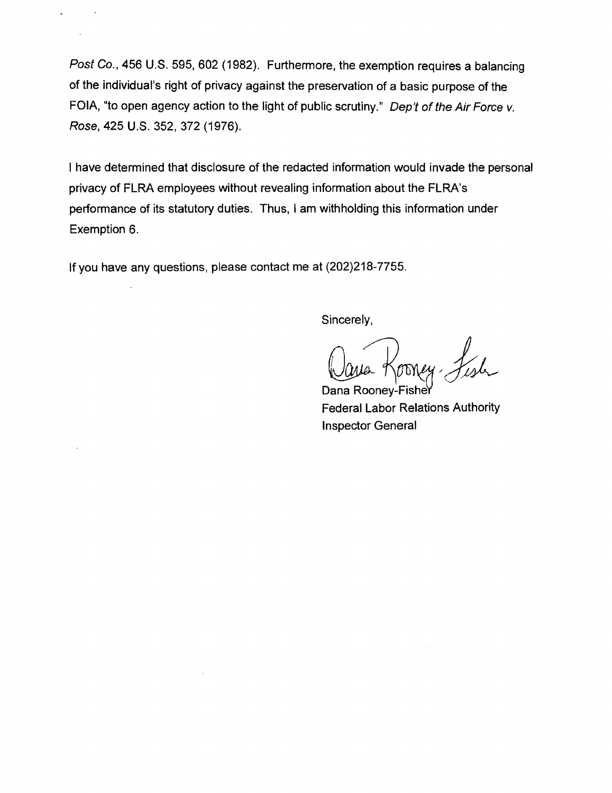Post Co., 456 U.S. 595, 602 (1982). Furthermore, the exemption requires a balancing of the individual's right of privacy against the preservation of a basic purpose of the FOIA, "to open agency action to the light of public scrutiny." Dep't of the Air Force v. Rose, 425 U.S. 352, 372 (1976).

I have determined that disclosure of the redacted information would invade the personal privacy of FLRA employees without revealing information about the FLRA's performance of its statutory duties. Thus, I am withholding this information under Exemption 6.

If you have any questions. please contact me at (202)218-7755.

Sincerely,

Dana Rooney-Fishe Federal Labor Relations Authority Inspector General·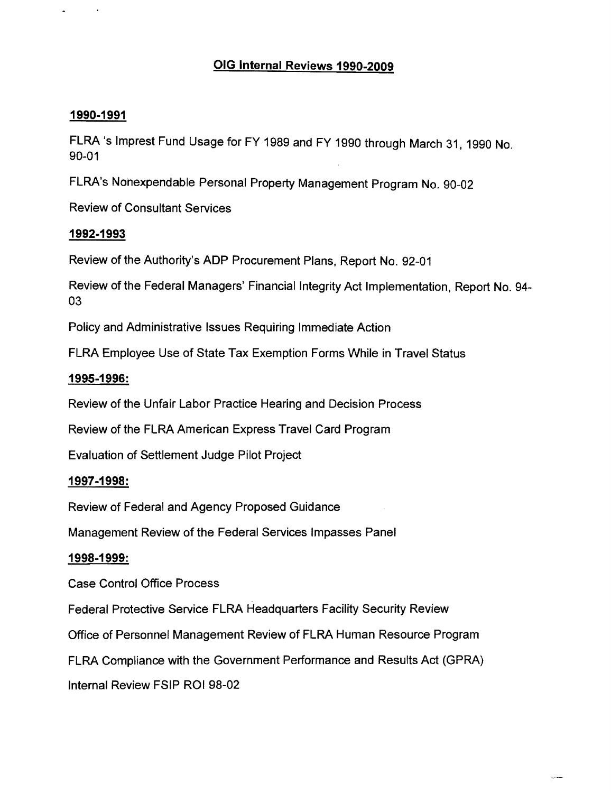# OIG Internal Reviews 1990-2009

#### 1990-1991

FLRA 's Imprest Fund Usage for FY 1989 and FY 1990 through March 31,1990 No. 90-01

FLRA's Nonexpendable Personal Property Management Program No. 90-02

Review of Consultant Services

## 1992·1993

Review of the Authority's ADP Procurement Plans, Report No. 92-01

Review of the Federal Managers' Financial Integrity Act Implementation, Report No. 94- 03

Policy and Administrative Issues Requiring Immediate Action

FLRA Employee Use of State Tax Exemption Forms While in Travel Status

#### 1995-1996:

Review of the Unfair Labor Practice Hearing and Decision Process

Review of the FLRA American Express Travel Card Program

Evaluation of Settlement Judge Pilot Project

#### 1997-1998:

Review of Federal and Agency Proposed Guidance

Management Review of the Federal Services Impasses Panel

#### 1998-1999:

Case Control Office Process

Federal Protective Service FLRA Headquarters Facility Security Review

Office of Personnel Management Review of FLRA Human Resource Program

FLRA Compliance with the Government Performance and Results Act (GPRA)

Internal Review FSIP ROI 98-02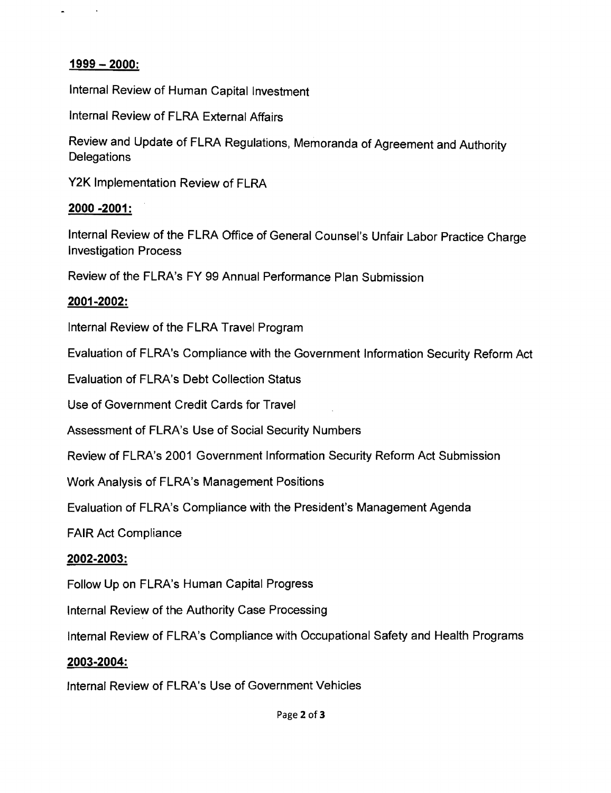## **1999 - 2000:**

 $\blacksquare$ 

Internal Review of Human Capital Investment

Internal Review of FLRA External Affairs

Review and Update of FLRA Regulations, Memoranda of Agreement and Authority **Delegations** 

Y2K Implementation Review of FLRA

#### **2000 -2001:**

Internal Review of the FLRA Office of General Counsel's Unfair Labor Practice Charge Investigation Process

Review of the FLRA's FY 99 Annual Performance Plan Submission

## **2001-2002:**

Internal Review of the FLRA Travel Program

Evaluation of FLRA's Compliance with the Government Information Security Reform Act

Evaluation of FLRA's Debt Collection Status

Use of Government Credit Cards for Travel

Assessment of FLRA's Use of Social Security Numbers

Review of FLRA's 2001 Government Information Security Reform Act Submission

Work Analysis of FLRA's Management Positions

Evaluation of FLRA's Compliance with the President's Management Agenda

FAIR Act Compliance

#### **2002-2003:**

Follow Up on FLRA's Human Capital Progress

Internal Review of the Authority Case Processing

Internal Review of FLRA's Compliance with Occupational Safety and Health Programs

#### **2003-2004:**

Internal Review of FLRA's Use of Government Vehicles